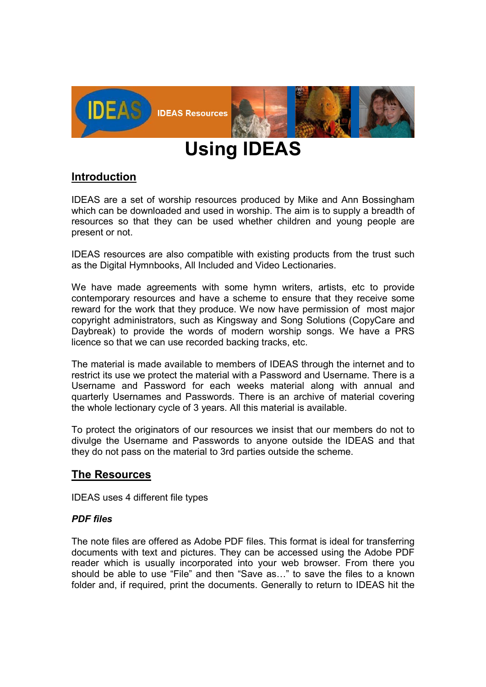

# **Using IDEAS**

# **Introduction**

IDEAS are a set of worship resources produced by Mike and Ann Bossingham which can be downloaded and used in worship. The aim is to supply a breadth of resources so that they can be used whether children and young people are present or not.

IDEAS resources are also compatible with existing products from the trust such as the Digital Hymnbooks, All Included and Video Lectionaries.

We have made agreements with some hymn writers, artists, etc to provide contemporary resources and have a scheme to ensure that they receive some reward for the work that they produce. We now have permission of most major copyright administrators, such as Kingsway and Song Solutions (CopyCare and Daybreak) to provide the words of modern worship songs. We have a PRS licence so that we can use recorded backing tracks, etc.

The material is made available to members of IDEAS through the internet and to restrict its use we protect the material with a Password and Username. There is a Username and Password for each weeks material along with annual and quarterly Usernames and Passwords. There is an archive of material covering the whole lectionary cycle of 3 years. All this material is available.

To protect the originators of our resources we insist that our members do not to divulge the Username and Passwords to anyone outside the IDEAS and that they do not pass on the material to 3rd parties outside the scheme.

# **The Resources**

IDEAS uses 4 different file types

# *PDF files*

The note files are offered as Adobe PDF files. This format is ideal for transferring documents with text and pictures. They can be accessed using the Adobe PDF reader which is usually incorporated into your web browser. From there you should be able to use "File" and then "Save as…" to save the files to a known folder and, if required, print the documents. Generally to return to IDEAS hit the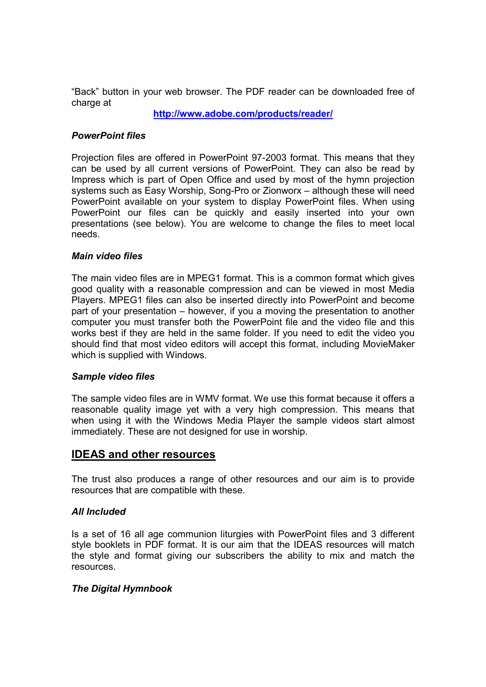"Back" button in your web browser. The PDF reader can be downloaded free of charge at

**http://www.adobe.com/products/reader/** 

## *PowerPoint files*

Projection files are offered in PowerPoint 97-2003 format. This means that they can be used by all current versions of PowerPoint. They can also be read by Impress which is part of Open Office and used by most of the hymn projection systems such as Easy Worship, Song-Pro or Zionworx – although these will need PowerPoint available on your system to display PowerPoint files. When using PowerPoint our files can be quickly and easily inserted into your own presentations (see below). You are welcome to change the files to meet local needs.

## *Main video files*

The main video files are in MPEG1 format. This is a common format which gives good quality with a reasonable compression and can be viewed in most Media Players. MPEG1 files can also be inserted directly into PowerPoint and become part of your presentation – however, if you a moving the presentation to another computer you must transfer both the PowerPoint file and the video file and this works best if they are held in the same folder. If you need to edit the video you should find that most video editors will accept this format, including MovieMaker which is supplied with Windows.

#### *Sample video files*

The sample video files are in WMV format. We use this format because it offers a reasonable quality image yet with a very high compression. This means that when using it with the Windows Media Player the sample videos start almost immediately. These are not designed for use in worship.

# **IDEAS and other resources**

The trust also produces a range of other resources and our aim is to provide resources that are compatible with these.

# *All Included*

Is a set of 16 all age communion liturgies with PowerPoint files and 3 different style booklets in PDF format. It is our aim that the IDEAS resources will match the style and format giving our subscribers the ability to mix and match the resources.

# *The Digital Hymnbook*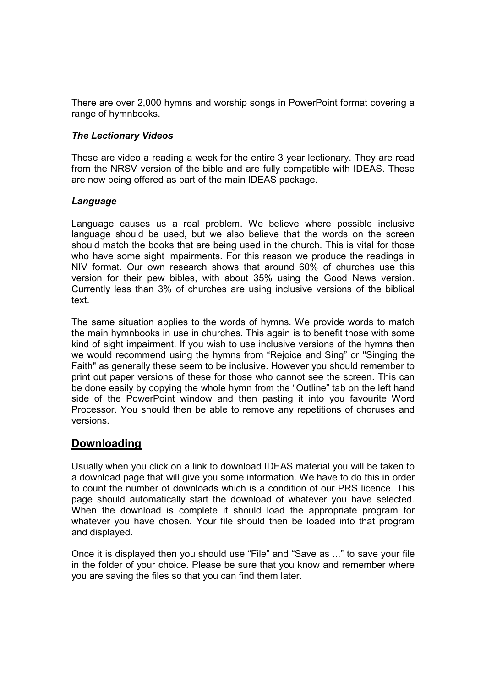There are over 2,000 hymns and worship songs in PowerPoint format covering a range of hymnbooks.

## *The Lectionary Videos*

These are video a reading a week for the entire 3 year lectionary. They are read from the NRSV version of the bible and are fully compatible with IDEAS. These are now being offered as part of the main IDEAS package.

## *Language*

Language causes us a real problem. We believe where possible inclusive language should be used, but we also believe that the words on the screen should match the books that are being used in the church. This is vital for those who have some sight impairments. For this reason we produce the readings in NIV format. Our own research shows that around 60% of churches use this version for their pew bibles, with about 35% using the Good News version. Currently less than 3% of churches are using inclusive versions of the biblical text.

The same situation applies to the words of hymns. We provide words to match the main hymnbooks in use in churches. This again is to benefit those with some kind of sight impairment. If you wish to use inclusive versions of the hymns then we would recommend using the hymns from "Rejoice and Sing" or "Singing the Faith" as generally these seem to be inclusive. However you should remember to print out paper versions of these for those who cannot see the screen. This can be done easily by copying the whole hymn from the "Outline" tab on the left hand side of the PowerPoint window and then pasting it into you favourite Word Processor. You should then be able to remove any repetitions of choruses and versions.

# **Downloading**

Usually when you click on a link to download IDEAS material you will be taken to a download page that will give you some information. We have to do this in order to count the number of downloads which is a condition of our PRS licence. This page should automatically start the download of whatever you have selected. When the download is complete it should load the appropriate program for whatever you have chosen. Your file should then be loaded into that program and displayed.

Once it is displayed then you should use "File" and "Save as ..." to save your file in the folder of your choice. Please be sure that you know and remember where you are saving the files so that you can find them later.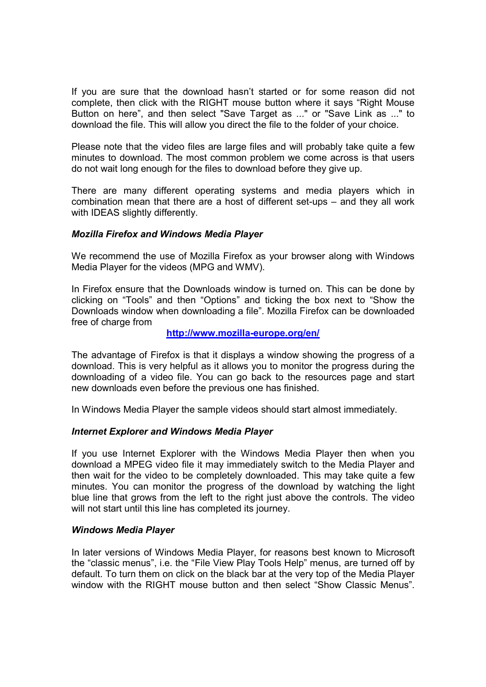If you are sure that the download hasn't started or for some reason did not complete, then click with the RIGHT mouse button where it says "Right Mouse Button on here", and then select "Save Target as ..." or "Save Link as ..." to download the file. This will allow you direct the file to the folder of your choice.

Please note that the video files are large files and will probably take quite a few minutes to download. The most common problem we come across is that users do not wait long enough for the files to download before they give up.

There are many different operating systems and media players which in combination mean that there are a host of different set-ups – and they all work with IDEAS slightly differently.

## *Mozilla Firefox and Windows Media Player*

We recommend the use of Mozilla Firefox as your browser along with Windows Media Player for the videos (MPG and WMV).

In Firefox ensure that the Downloads window is turned on. This can be done by clicking on "Tools" and then "Options" and ticking the box next to "Show the Downloads window when downloading a file". Mozilla Firefox can be downloaded free of charge from

#### **http://www.mozilla-europe.org/en/**

The advantage of Firefox is that it displays a window showing the progress of a download. This is very helpful as it allows you to monitor the progress during the downloading of a video file. You can go back to the resources page and start new downloads even before the previous one has finished.

In Windows Media Player the sample videos should start almost immediately.

#### *Internet Explorer and Windows Media Player*

If you use Internet Explorer with the Windows Media Player then when you download a MPEG video file it may immediately switch to the Media Player and then wait for the video to be completely downloaded. This may take quite a few minutes. You can monitor the progress of the download by watching the light blue line that grows from the left to the right just above the controls. The video will not start until this line has completed its journey.

#### *Windows Media Player*

In later versions of Windows Media Player, for reasons best known to Microsoft the "classic menus", i.e. the "File View Play Tools Help" menus, are turned off by default. To turn them on click on the black bar at the very top of the Media Player window with the RIGHT mouse button and then select "Show Classic Menus".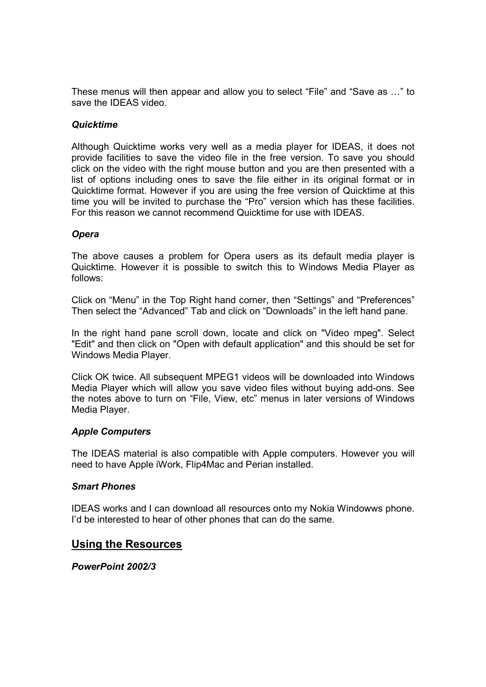These menus will then appear and allow you to select "File" and "Save as …" to save the IDEAS video.

# *Quicktime*

Although Quicktime works very well as a media player for IDEAS, it does not provide facilities to save the video file in the free version. To save you should click on the video with the right mouse button and you are then presented with a list of options including ones to save the file either in its original format or in Quicktime format. However if you are using the free version of Quicktime at this time you will be invited to purchase the "Pro" version which has these facilities. For this reason we cannot recommend Quicktime for use with IDEAS.

## *Opera*

The above causes a problem for Opera users as its default media player is Quicktime. However it is possible to switch this to Windows Media Player as follows:

Click on "Menu" in the Top Right hand corner, then "Settings" and "Preferences" Then select the "Advanced" Tab and click on "Downloads" in the left hand pane.

In the right hand pane scroll down, locate and click on "Video mpeg". Select "Edit" and then click on "Open with default application" and this should be set for Windows Media Player.

Click OK twice. All subsequent MPEG1 videos will be downloaded into Windows Media Player which will allow you save video files without buying add-ons. See the notes above to turn on "File, View, etc" menus in later versions of Windows Media Player.

#### *Apple Computers*

The IDEAS material is also compatible with Apple computers. However you will need to have Apple iWork, Flip4Mac and Perian installed.

#### *Smart Phones*

IDEAS works and I can download all resources onto my Nokia Windowws phone. I'd be interested to hear of other phones that can do the same.

# **Using the Resources**

*PowerPoint 2002/3*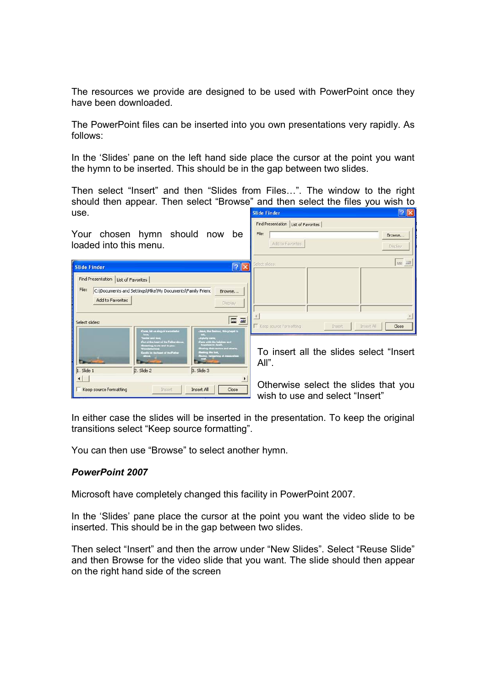The resources we provide are designed to be used with PowerPoint once they have been downloaded.

The PowerPoint files can be inserted into you own presentations very rapidly. As follows:

In the 'Slides' pane on the left hand side place the cursor at the point you want the hymn to be inserted. This should be in the gap between two slides.

Then select "Insert" and then "Slides from Files…". The window to the right should then appear. Then select "Browse" and then select the files you wish to<br>use. use.

| Your chosen hymn should now<br>be<br>loaded into this menu.                                                                                                                                                                                                                                                                                                  | Find Presentation   List of Favorites<br>File:<br>Browse<br>Add to Favorites<br>Display |
|--------------------------------------------------------------------------------------------------------------------------------------------------------------------------------------------------------------------------------------------------------------------------------------------------------------------------------------------------------------|-----------------------------------------------------------------------------------------|
| ? X<br><b>Slide Finder</b>                                                                                                                                                                                                                                                                                                                                   | <b>100 30</b><br>Select slides:                                                         |
| Find Presentation   List of Favorites<br>File:<br>C:\Documents and Settings\Mike\My Documents\Family Frienc<br>Browse<br>Add to Favorites<br>Display                                                                                                                                                                                                         |                                                                                         |
| 画<br>$\overline{m}$<br>Select slides:<br>Come, but us any of awardlefie<br>Janes, the fleeboot, this proget is                                                                                                                                                                                                                                               | Keep source formatting<br>Insert All<br>Close<br>Insert                                 |
| <b>Pyfolicy City</b><br><b>I this heat of the Father show</b><br>.<br>Caru with the helpham trul.<br>- Royalata to detail.<br><b>Eng to me and to you</b><br><b>Share scores and advance</b><br><b><i><u>ANTIQUEST COMPANY</u></i></b><br>Dured in his first frames and shed if actual<br><b>Industring at the</b><br>1. Slide 1<br>2. Slide 2<br>3. Slide 3 | To insert all the slides select "Insert"<br>All".                                       |
| ٠<br>Keep source formatting<br>Close<br><b>Insert All</b><br>Insert                                                                                                                                                                                                                                                                                          | Otherwise select the slides that you<br>wish to use and select "Insert"                 |

In either case the slides will be inserted in the presentation. To keep the original transitions select "Keep source formatting".

You can then use "Browse" to select another hymn.

#### *PowerPoint 2007*

Microsoft have completely changed this facility in PowerPoint 2007.

In the 'Slides' pane place the cursor at the point you want the video slide to be inserted. This should be in the gap between two slides.

Then select "Insert" and then the arrow under "New Slides". Select "Reuse Slide" and then Browse for the video slide that you want. The slide should then appear on the right hand side of the screen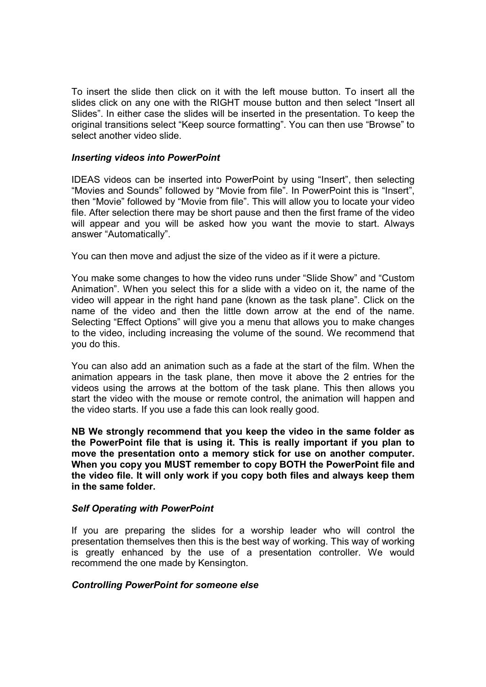To insert the slide then click on it with the left mouse button. To insert all the slides click on any one with the RIGHT mouse button and then select "Insert all Slides". In either case the slides will be inserted in the presentation. To keep the original transitions select "Keep source formatting". You can then use "Browse" to select another video slide.

#### *Inserting videos into PowerPoint*

IDEAS videos can be inserted into PowerPoint by using "Insert", then selecting "Movies and Sounds" followed by "Movie from file". In PowerPoint this is "Insert", then "Movie" followed by "Movie from file". This will allow you to locate your video file. After selection there may be short pause and then the first frame of the video will appear and you will be asked how you want the movie to start. Always answer "Automatically".

You can then move and adjust the size of the video as if it were a picture.

You make some changes to how the video runs under "Slide Show" and "Custom Animation". When you select this for a slide with a video on it, the name of the video will appear in the right hand pane (known as the task plane". Click on the name of the video and then the little down arrow at the end of the name. Selecting "Effect Options" will give you a menu that allows you to make changes to the video, including increasing the volume of the sound. We recommend that you do this.

You can also add an animation such as a fade at the start of the film. When the animation appears in the task plane, then move it above the 2 entries for the videos using the arrows at the bottom of the task plane. This then allows you start the video with the mouse or remote control, the animation will happen and the video starts. If you use a fade this can look really good.

**NB We strongly recommend that you keep the video in the same folder as the PowerPoint file that is using it. This is really important if you plan to move the presentation onto a memory stick for use on another computer. When you copy you MUST remember to copy BOTH the PowerPoint file and the video file. It will only work if you copy both files and always keep them in the same folder.** 

# *Self Operating with PowerPoint*

If you are preparing the slides for a worship leader who will control the presentation themselves then this is the best way of working. This way of working is greatly enhanced by the use of a presentation controller. We would recommend the one made by Kensington.

#### *Controlling PowerPoint for someone else*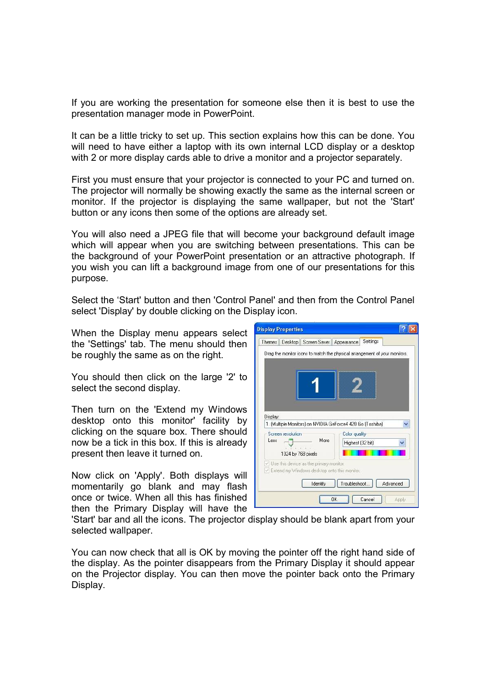If you are working the presentation for someone else then it is best to use the presentation manager mode in PowerPoint.

It can be a little tricky to set up. This section explains how this can be done. You will need to have either a laptop with its own internal LCD display or a desktop with 2 or more display cards able to drive a monitor and a projector separately.

First you must ensure that your projector is connected to your PC and turned on. The projector will normally be showing exactly the same as the internal screen or monitor. If the projector is displaying the same wallpaper, but not the 'Start' button or any icons then some of the options are already set.

You will also need a JPEG file that will become your background default image which will appear when you are switching between presentations. This can be the background of your PowerPoint presentation or an attractive photograph. If you wish you can lift a background image from one of our presentations for this purpose.

Select the 'Start' button and then 'Control Panel' and then from the Control Panel select 'Display' by double clicking on the Display icon.

When the Display menu appears select the 'Settings' tab. The menu should then be roughly the same as on the right.

You should then click on the large '2' to select the second display.

Then turn on the 'Extend my Windows desktop onto this monitor' facility by clicking on the square box. There should now be a tick in this box. If this is already present then leave it turned on.

Now click on 'Apply'. Both displays will momentarily go blank and may flash once or twice. When all this has finished then the Primary Display will have the



'Start' bar and all the icons. The projector display should be blank apart from your selected wallpaper.

You can now check that all is OK by moving the pointer off the right hand side of the display. As the pointer disappears from the Primary Display it should appear on the Projector display. You can then move the pointer back onto the Primary Display.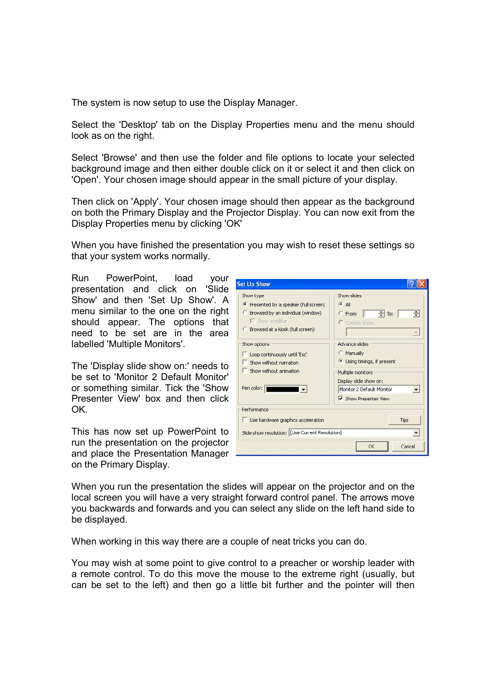The system is now setup to use the Display Manager.

Select the 'Desktop' tab on the Display Properties menu and the menu should look as on the right.

Select 'Browse' and then use the folder and file options to locate your selected background image and then either double click on it or select it and then click on 'Open'. Your chosen image should appear in the small picture of your display.

Then click on 'Apply'. Your chosen image should then appear as the background on both the Primary Display and the Projector Display. You can now exit from the Display Properties menu by clicking 'OK'

When you have finished the presentation you may wish to reset these settings so that your system works normally.

Run PowerPoint, load your presentation and click on 'Slide Show' and then 'Set Up Show'. A menu similar to the one on the right should appear. The options that need to be set are in the area labelled 'Multiple Monitors'.

The 'Display slide show on:' needs to be set to 'Monitor 2 Default Monitor' or something similar. Tick the 'Show Presenter View' box and then click OK.

This has now set up PowerPoint to run the presentation on the projector and place the Presentation Manager on the Primary Display.

| <b>Set Up Show</b>                                                                                                                               |                                                                                                                                                                   |
|--------------------------------------------------------------------------------------------------------------------------------------------------|-------------------------------------------------------------------------------------------------------------------------------------------------------------------|
| Show type<br>• Presented by a speaker (full screen)<br>Browsed by an individual (window)<br>Show scrollbar<br>C Browsed at a kiosk (full screen) | Show slides<br>$G$ All<br>$\frac{1}{2}$ To:<br>÷<br><b>From:</b><br>C Custom show:                                                                                |
| Show options<br>Loop continuously until 'Esc'<br>Show without narration<br>Show without animation<br>Pen color:                                  | <b>Advance slides</b><br>Manually<br>Using timings, if present<br>Multiple monitors<br>Display slide show on:<br>Monitor 2 Default Monitor<br>Show Presenter View |
| Performance<br>Use hardware graphics acceleration<br>Slide show resolution: [Use Current Resolution]                                             | Tips<br>OK<br>Cancel                                                                                                                                              |

When you run the presentation the slides will appear on the projector and on the local screen you will have a very straight forward control panel. The arrows move you backwards and forwards and you can select any slide on the left hand side to be displayed.

When working in this way there are a couple of neat tricks you can do.

You may wish at some point to give control to a preacher or worship leader with a remote control. To do this move the mouse to the extreme right (usually, but can be set to the left) and then go a little bit further and the pointer will then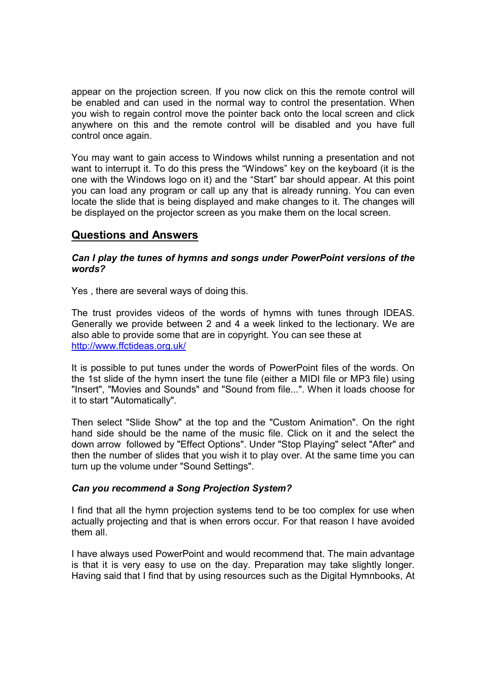appear on the projection screen. If you now click on this the remote control will be enabled and can used in the normal way to control the presentation. When you wish to regain control move the pointer back onto the local screen and click anywhere on this and the remote control will be disabled and you have full control once again.

You may want to gain access to Windows whilst running a presentation and not want to interrupt it. To do this press the "Windows" key on the keyboard (it is the one with the Windows logo on it) and the "Start" bar should appear. At this point you can load any program or call up any that is already running. You can even locate the slide that is being displayed and make changes to it. The changes will be displayed on the projector screen as you make them on the local screen.

# **Questions and Answers**

## *Can I play the tunes of hymns and songs under PowerPoint versions of the words?*

Yes , there are several ways of doing this.

The trust provides videos of the words of hymns with tunes through IDEAS. Generally we provide between 2 and 4 a week linked to the lectionary. We are also able to provide some that are in copyright. You can see these at http://www.ffctideas.org.uk/

It is possible to put tunes under the words of PowerPoint files of the words. On the 1st slide of the hymn insert the tune file (either a MIDI file or MP3 file) using "Insert", "Movies and Sounds" and "Sound from file...". When it loads choose for it to start "Automatically".

Then select "Slide Show" at the top and the "Custom Animation". On the right hand side should be the name of the music file. Click on it and the select the down arrow followed by "Effect Options". Under "Stop Playing" select "After" and then the number of slides that you wish it to play over. At the same time you can turn up the volume under "Sound Settings".

# *Can you recommend a Song Projection System?*

I find that all the hymn projection systems tend to be too complex for use when actually projecting and that is when errors occur. For that reason I have avoided them all.

I have always used PowerPoint and would recommend that. The main advantage is that it is very easy to use on the day. Preparation may take slightly longer. Having said that I find that by using resources such as the Digital Hymnbooks, At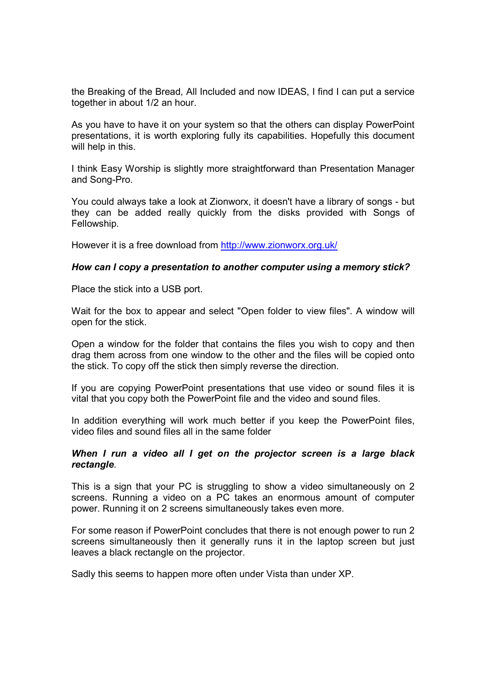the Breaking of the Bread, All Included and now IDEAS, I find I can put a service together in about 1/2 an hour.

As you have to have it on your system so that the others can display PowerPoint presentations, it is worth exploring fully its capabilities. Hopefully this document will help in this.

I think Easy Worship is slightly more straightforward than Presentation Manager and Song-Pro.

You could always take a look at Zionworx, it doesn't have a library of songs - but they can be added really quickly from the disks provided with Songs of Fellowship.

However it is a free download from http://www.zionworx.org.uk/

#### *How can I copy a presentation to another computer using a memory stick?*

Place the stick into a USB port.

Wait for the box to appear and select "Open folder to view files". A window will open for the stick.

Open a window for the folder that contains the files you wish to copy and then drag them across from one window to the other and the files will be copied onto the stick. To copy off the stick then simply reverse the direction.

If you are copying PowerPoint presentations that use video or sound files it is vital that you copy both the PowerPoint file and the video and sound files.

In addition everything will work much better if you keep the PowerPoint files, video files and sound files all in the same folder

#### *When I run a video all I get on the projector screen is a large black rectangle*.

This is a sign that your PC is struggling to show a video simultaneously on 2 screens. Running a video on a PC takes an enormous amount of computer power. Running it on 2 screens simultaneously takes even more.

For some reason if PowerPoint concludes that there is not enough power to run 2 screens simultaneously then it generally runs it in the laptop screen but just leaves a black rectangle on the projector.

Sadly this seems to happen more often under Vista than under XP.